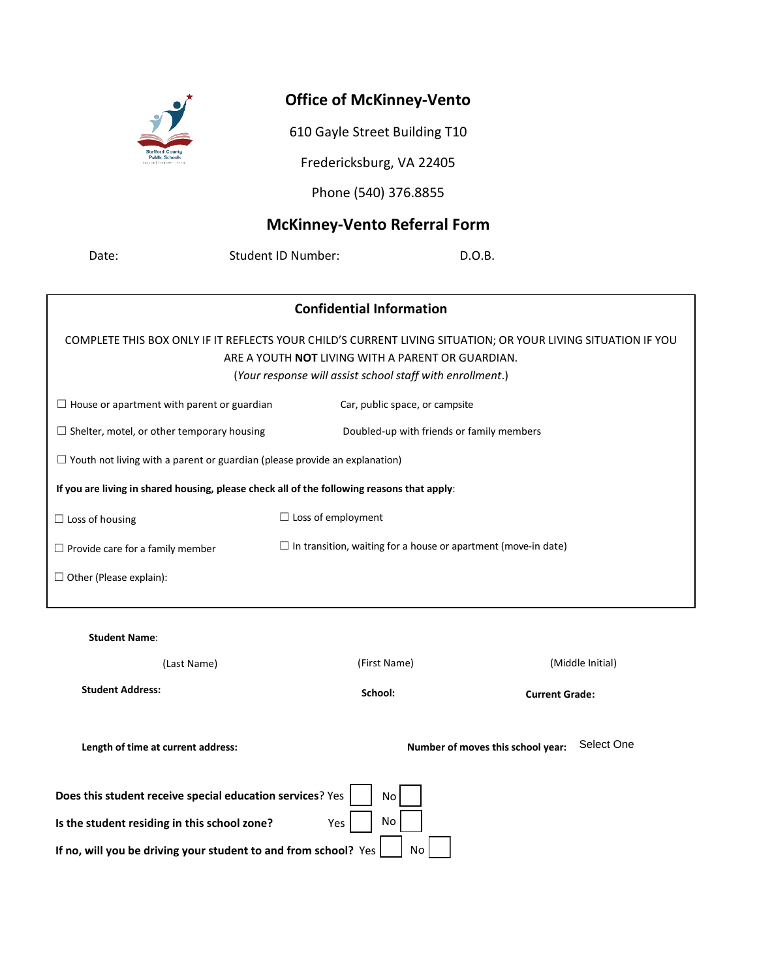

## **Office of McKinney-Vento**

610 Gayle Street Building T10

Fredericksburg, VA 22405

Phone (540) 376.8855

## **McKinney-Vento Referral Form**

Date: Student ID Number: D.O.B.

| <b>Confidential Information</b>                                                                                                                                          |                                                                       |  |  |  |  |
|--------------------------------------------------------------------------------------------------------------------------------------------------------------------------|-----------------------------------------------------------------------|--|--|--|--|
| COMPLETE THIS BOX ONLY IF IT REFLECTS YOUR CHILD'S CURRENT LIVING SITUATION; OR YOUR LIVING SITUATION IF YOU<br>ARE A YOUTH <b>NOT</b> LIVING WITH A PARENT OR GUARDIAN. |                                                                       |  |  |  |  |
| (Your response will assist school staff with enrollment.)                                                                                                                |                                                                       |  |  |  |  |
| $\Box$ House or apartment with parent or guardian                                                                                                                        | Car, public space, or campsite                                        |  |  |  |  |
| $\Box$ Shelter, motel, or other temporary housing                                                                                                                        | Doubled-up with friends or family members                             |  |  |  |  |
| $\Box$ Youth not living with a parent or guardian (please provide an explanation)                                                                                        |                                                                       |  |  |  |  |
| If you are living in shared housing, please check all of the following reasons that apply:                                                                               |                                                                       |  |  |  |  |
| $\Box$ Loss of housing                                                                                                                                                   | $\Box$ Loss of employment                                             |  |  |  |  |
| $\Box$ Provide care for a family member                                                                                                                                  | $\Box$ In transition, waiting for a house or apartment (move-in date) |  |  |  |  |
| $\Box$ Other (Please explain):                                                                                                                                           |                                                                       |  |  |  |  |
|                                                                                                                                                                          |                                                                       |  |  |  |  |

| <b>Student Name:</b> |             |
|----------------------|-------------|
|                      | (Last Name) |

(First Name) (Middle Initial)

**Student Address:** 

**School: Current Grade:**

Length of time at current address: example and the Number of moves this school year: Select One

| Does this student receive special education services? Yes $\vert$ $\vert$ No $\vert$       |  |
|--------------------------------------------------------------------------------------------|--|
| Is the student residing in this school zone?                                               |  |
| If no, will you be driving your student to and from school? Yes $\vert$ $\vert$ No $\vert$ |  |